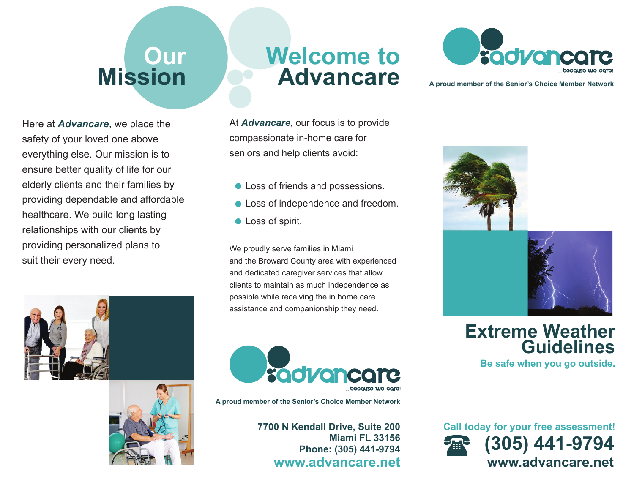## **Our Mission**

Here at *Advancare*, we place the safety of your loved one above everything else. Our mission is to ensure better quality of life for our elderly clients and their families by providing dependable and affordable healthcare. We build long lasting relationships with our clients by providing personalized plans to suit their every need.





## **Welcome toAdvancare**

At *Advancare*, our focus is to provide compassionate in-home care for seniors and help clients avoid:

- Loss of friends and possessions.
- **Loss of independence and freedom.**
- **C** Loss of spirit.

We proudly serve families in Miami and the Broward County area with experienced and dedicated caregiver services that allow clients to maintain as much independence as possible while receiving the in home care assistance and companionship they need.



**A proud member of the Senior's Choice Member Network**

**7700 N Kendall Drive, Suite 200 Miami FL 33156Phone: (305) 441-9794 www.advancare.net**



**A proud member of the Senior's Choice Member Network**





**Extreme Weather Guidelines**

**Be safe when you go outside.**